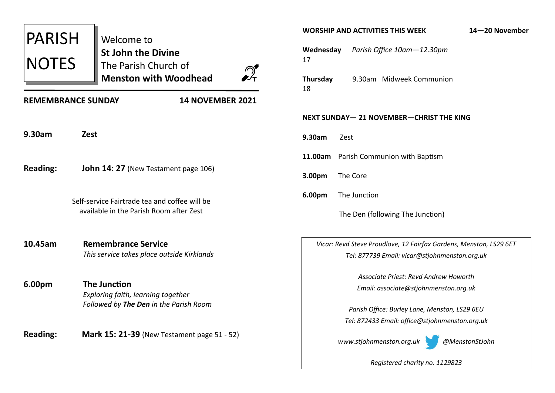| <b>PARISH</b><br><b>NOTES</b>                        | Welcome to<br>St John the Divine<br>The Parish Church of<br><b>Menston with Woodhead</b>            |
|------------------------------------------------------|-----------------------------------------------------------------------------------------------------|
| <b>14 NOVEMBER 2021</b><br><b>REMEMBRANCE SUNDAY</b> |                                                                                                     |
| 9.30am                                               | <b>Zest</b>                                                                                         |
| <b>Reading:</b>                                      | John 14: 27 (New Testament page 106)                                                                |
|                                                      | Self-service Fairtrade tea and coffee will be<br>available in the Parish Room after Zest            |
| 10.45am                                              | <b>Remembrance Service</b><br>This service takes place outside Kirklands                            |
| 6.00pm                                               | <b>The Junction</b><br>Exploring faith, learning together<br>Followed by The Den in the Parish Room |
| <b>Reading:</b>                                      | <b>Mark 15: 21-39</b> (New Testament page 51 - 52)                                                  |

#### **WORSHIP AND ACTIVITIES THIS WEEK 14—20 November**

**Wednesday** *Parish Office 10am—12.30pm* 17

**Thursday** 9.30am Midweek Communion 18

#### **NEXT SUNDAY— 21 NOVEMBER—CHRIST THE KING**

**9.30am** Zest

**11.00am** Parish Communion with Baptism

**3.00pm** The Core

**6.00pm** The Junction

The Den (following The Junction)

*Vicar: Revd Steve Proudlove, 12 Fairfax Gardens, Menston, LS29 6ET Tel: 877739 Email: vicar@stjohnmenston.org.uk*

> *Associate Priest: Revd Andrew Howorth Email: associate@stjohnmenston.org.uk*

*Parish Office: Burley Lane, Menston, LS29 6EU Tel: 872433 Email: office@stjohnmenston.org.uk*



*Registered charity no. 1129823*